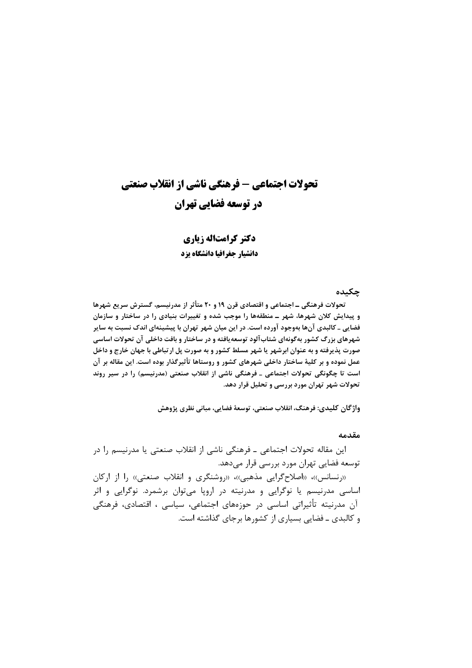## تحولات اجتماعی - فرهنگی ناشی از انقلاب صنعتی در توسعه فضایی تهران

دکتر کرامتاله زیاری دانشیار جغرافیا دانشگاه یزد

حكىدە

تحولات فرهنگی ـ اجتماعی و اقتصادی قرن ۱۹ و ۲۰ متأثر از مدرنیسم، گسترش سریع شهرها و پیدایش کلان شهرها، شهر ــ منطقهها را موجب شده و تغییرات بنیادی را در ساختار و سازمان فضایی ـ کالبدی آنها بهوجود آورده است. در این میان شهر تهران با پیشینهای اندک نسبت به سایر شهرهای بزرگ کشور بهگونهای شتابآلود توسعهیافته و در ساختار و بافت داخلی آن تحولات اساسی صورت پذیرفته و به عنوان ابرشهر یا شهر مسلط کشور و به صورت پل ارتباطی با جهان خارج و داخل عمل نموده و بر کلیهٔ ساختار داخلی شهرهای کشور و روستاها تأثیرگذار بوده است. این مقاله بر آن است تا چگونگی تحولات اجتماعی ـ فرهنگی ناشی از انقلاب صنعتی (مدرنیسم) را در سیر روند تحولات شهر تهران مورد بررسی و تحلیل قرار دهد.

واژگان كليدي: فرهنگ، انقلاب صنعتي، توسعهٔ فضايي، مباني نظري پژوهش

مقدمه

این مقاله تحولات اجتماعی ـ فرهنگی ناشی از انقلاب صنعتی یا مدرنیسم را در توسعه فضایی تهران مورد بررسی قرار میدهد.

((رنسانس))، ((اصلاح گرایی مذهبی))، ((روشنگری و انقلاب صنعتی)) را از ارکان اساسی مدرنیسم یا نوگرایی و مدرنیته در اروپا می توان برشمرد. نوگرایی و اثر آن مدرنیته تأثیراتی اساسی در حوزههای اجتماعی، سیاسی ، اقتصادی، فرهنگی و کالبدی ـ فضایی بسیاری از کشورها برجای گذاشته است.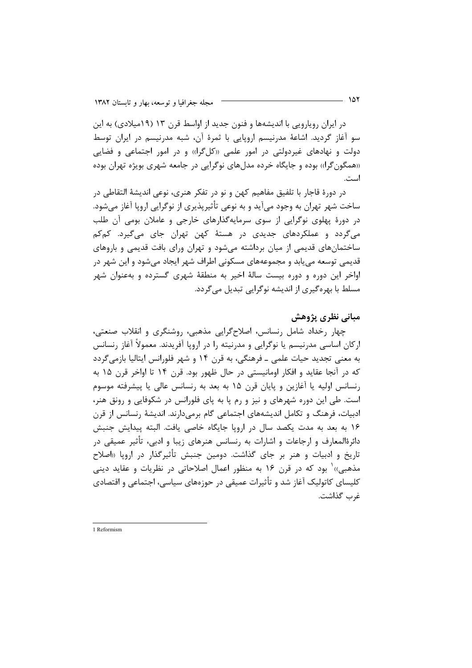در ایران رویارویی با اندیشهها و فنون جدید از اواسط قرن ۱۳ (۱۹میلادی) به این سو آغاز گردید. اشاعهٔ مدرنیسم اروپایی با ثمرهٔ آن، شبه مدرنیسم در ایران توسط دولت و نهادهای غیردولتی در امور علمی «کلگرا)» و در امور اجتماعی و فضایی «همگون گرا» بوده و جایگاه خرده مدلهای نوگرایی در جامعه شهری بویژه تهران بوده است.

در دورۂ قاجار با تلفیق مفاهیم کهن و نو در تفکر هنری، نوعی اندیشهٔ التقاطی در ساخت شهر تهران به وجود میآید و به نوعی تأثیرپذیری از نوگرایی اروپا آغاز میشود. در دورهٔ پهلوی نوگرایی از سوی سرمایهگذارهای خارجی و عاملان بومی آن طلب میگردد و عملکردهای جدیدی در هستهٔ کهن تهران جای میگیرد. کمکم ساختمانهای قدیمی از میان برداشته می شود و تهران ورای بافت قدیمی و باروهای قدیمی توسعه می یابد و مجموعههای مسکونی اطراف شهر ایجاد می شود و این شهر در اواخر این دوره و دوره بیست سالهٔ اخیر به منطقهٔ شهری گسترده و بهعنوان شهر مسلط با بهرهگیری از اندیشه نوگرایی تبدیل میگردد.

## مباني نظري پژوهش

چهار رخداد شامل رنسانس، اصلاح گرایی مذهبی، روشنگری و انقلاب صنعتی، ارکان اساسی مدرنیسم یا نوگرایی و مدرنیته را در اروپا آفریدند. معمولاً آغاز رنسانس به معنی تجدید حیات علمی ــ فرهنگی، به قرن ۱۴ و شهر فلورانس ایتالیا بازمی گردد که در آنجا عقاید و افکار اومانیستی در حال ظهور بود. قرن ۱۴ تا اواخر قرن ۱۵ به رنسانس اوليه يا آغازين و يايان قرن ١۵ به بعد به رنسانس عالى يا پيشرفته موسوم است. طی این دوره شهرهای و نیز و رم یا به پای فلورانس در شکوفایی و رونق هنر، ادبیات، فرهنگ و تکامل اندیشههای اجتماعی گام برمیدارند. اندیشهٔ رنسانس از قرن ۱۶ به بعد به مدت یکصد سال در اروپا جایگاه خاصی یافت. البته پیدایش جنبش دائرهٔالمعارف و ارجاعات و اشارات به رنسانس هنرهای زیبا و ادبی، تأثیر عمیقی در تاریخ و ادبیات و هنر بر جای گذاشت. دومین جنبش تأثیرگذار در اروپا «اصلاح مذهبي)) ٰ بود که در قرن ۱۶ به منظور اعمال اصلاحاتی در نظریات و عقاید دینی کلیسای کاتولیک آغاز شد و تأثیرات عمیقی در حوزههای سیاسی، اجتماعی و اقتصادی غرب گذاشت.

1 Reformism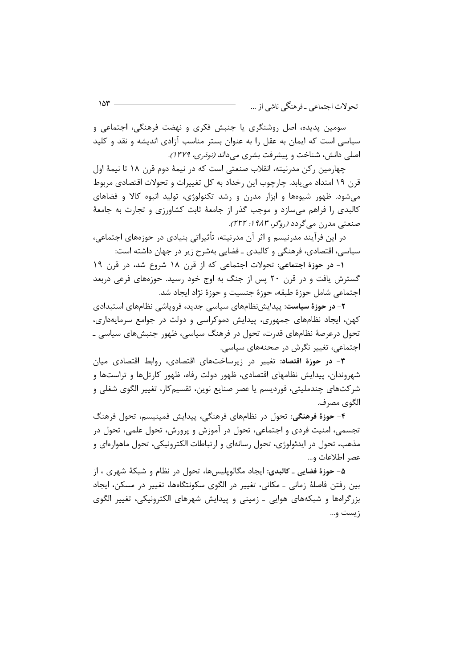سومين پديده، اصل روشنگري يا جنبش فكري و نهضت فرهنگي، اجتماعي و سیاسی است که ایمان به عقل را به عنوان بستر مناسب آزادی اندیشه و نقد و کلید اصلی دانش، شناخت و پیشرفت بشری میداند *(نوذری، ۱۳۷۹).* 

چهارمین رکن مدرنیته، انقلاب صنعتی است که در نیمهٔ دوم قرن ۱۸ تا نیمهٔ اول قرن ۱۹ امتداد می یابد. چارچوب این رخداد به کل تغییرات و تحولات اقتصادی مربوط می شود. ظهور شیوهها و ابزار مدرن و رشد تکنولوژی، تولید انبوه کالا و فضاهای کالبدی را فراهم میسازد و موجب گذر از جامعهٔ ثابت کشاورزی و تجارت به جامعهٔ صنعتي مد<sub>لان</sub> مي گردد (رو*گر، ۱۹۸۳: ۲۲۲).* 

در این فرآیند مدرنیسم و اثر آن مدرنیته، تأثیراتی بنیادی در حوزههای اجتماعی، سیاسی، اقتصادی، فرهنگی و کالبدی ـ فضایی بهشرح زیر در جهان داشته است:

١- در حوزهٔ اجتماعی: تحولات اجتماعی که از قرن ١٨ شروع شد، در قرن ١٩ گسترش یافت و در قرن ۲۰ پس از جنگ به اوج خود رسید. حوزههای فرعی دربعد اجتماعي شامل حوزة طبقه، حوزة جنسيت و حوزة نژاد ايجاد شد.

۲- در حوزهٔ سیاست: پیدایشِ نظامهای سیاسی جدید، فروپاشی نظامهای استبدادی کهن، ایجاد نظامهای جمهوری، پیدایش دموکراسی و دولت در جوامع سرمایهداری، تحول درعرصهٔ نظامهای قدرت، تحول در فرهنگ سیاسی، ظهور جنبشهای سیاسی ـ اجتماعی، تغییر نگرش در صحنههای سیاسی.

۳- در حوزهٔ اقتصاد: تغییر در زیرساختهای اقتصادی، روابط اقتصادی میان شهروندان، پیدایش نظامهای اقتصادی، ظهور دولت رفاه، ظهور کارتلها و تراستها و شرکتهای چندملیتی، فوردیسم یا عصر صنایع نوین، تقسیمکار، تغییر الگوی شغلی و الگوي مصر ف.

۴- حوزهٔ فرهنگی: تحول در نظامهای فرهنگی، پیدایش فمینیسم، تحول فرهنگ تجسمي، امنيت فردي و اجتماعي، تحول در آموزش و پرورش، تحول علمي، تحول در مذهب، تحول در ايدئولوژي، تحول رسانهاي و ارتباطات الكترونيكي، تحول ماهوارەاي و عصر اطلاعات و...

۵- حوزهٔ فضایی ـ کالبدی: ایجاد مگالوپلیسها، تحول در نظام و شبکهٔ شهری ، از بین رفتن فاصلهٔ زمانی ـ مکانی، تغییر در الگوی سکونتگاهها، تغییر در مسکن، ایجاد بزرگراهها و شبکههای هوایی ـ زمینی و پیدایش شهرهای الکترونیکی، تغییر الگوی زيست و…

 $10<sup>4</sup>$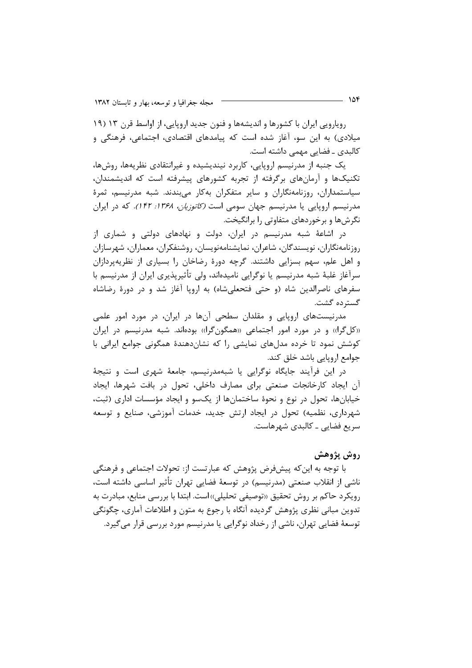رویارویی ایران با کشورها و اندیشهها و فنون جدید اروپایی، از اواسط قرن ۱۳ (۱۹ میلادی) به این سو، آغاز شده است که پیامدهای اقتصادی، اجتماعی، فرهنگی و كالبدى ـ فضايى مهمى داشته است.

یک جنبه از مدرنیسم اروپایی، کاربرد نیندیشیده و غیرانتقادی نظریهها، روشها، تکنیکها و آرمانهای برگرفته از تجربه کشورهای پیشرفته است که اندیشمندان، سیاستمداران، روزنامهنگاران و سایر متفکران بهکار میبندند. شبه مدرنیسم، ثمرهٔ مدرنیسم اروپایی یا مدرنیسم جهان سومی است *(کاتوزیان، ۱۳۶۸: ۱۴۲).* که در ایران نگرشها و برخوردهای متفاوتی را برانگیخت.

در اشاعهٔ شبه مدرنیسم در ایران، دولت و نهادهای دولتی و شماری از روزنامەنگاران، نويسندگان، شاعران، نمايشنامەنويسان، روشنفكران، معماران، شهرسازان و اهل علم، سهم بسزایی داشتند. گرچه دورهٔ رضاخان را بسیاری از نظریهپردازان سرآغاز غلبهٔ شبه مدرنیسم یا نوگرایی نامیدهاند، ولی تأثیرپذیری ایران از مدرنیسم با سفرهای ناصرالدین شاه (و حتی فتحعلیشاه) به اروپا آغاز شد و در دورهٔ رضاشاه گسترده گشت.

مدرنیستهای اروپایی و مقلدان سطحی آنها در ایران، در مورد امور علمی «کل گرا» و در مورد امور اجتماعی «همگون گرا» بودهاند. شبه مدرنیسم در ایران کوشش نمود تا خرده مدلهای نمایشی را که نشاندهندهٔ همگونی جوامع ایرانی با جوامع اروپایی باشد خلق کند.

در این فرآیند جایگاه نوگرایی یا شبهمدرنیسم، جامعهٔ شهری است و نتیجهٔ آن ایجاد کارخانجات صنعتی برای مصارف داخلی، تحول در بافت شهرها، ایجاد خیابانها، تحول در نوع و نحوهٔ ساختمانها از یکسو و ایجاد مؤسسات اداری (ثبت، شهرداری، نظمیه) تحول در ایجاد ارتش جدید، خدمات آموزشی، صنایع و توسعه سریع فضایے ۔ کالبدی شھرھاست.

## روش پژوهش

با توجه به این که پیشفرض پژوهش که عبارتست از: تحولات اجتماعی و فرهنگی ناشی از انقلاب صنعتی (مدرنیسم) در توسعهٔ فضایی تهران تأثیر اساسی داشته است، رويكرد حاكم بر روش تحقيق «توصيفي تحليلي»است. ابتدا با بررسي منابع، مبادرت به تدوین مبانی نظری پژوهش گردیده آنگاه با رجوع به متون و اطلاعات آماری، چگونگی توسعهٔ فضایی تهران، ناشی از رخداد نوگرایی یا مدرنیسم مورد بررسی قرار میگیرد.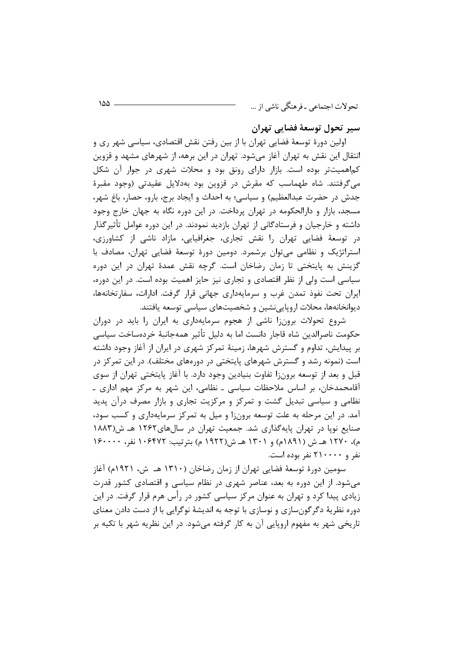سير تحول توسعهٔ فضایی تهران

اولین دورهٔ توسعهٔ فضایی تهران با از بین رفتن نقش اقتصادی، سیاسی شهر ری و انتقال این نقش به تهران آغاز میشود. تهران در این برهه، از شهرهای مشهد و قزوین کماهمیتتر بوده است. بازار دارای رونق بود و محلات شهری در جوار آن شکل میگرفتند. شاه طهماسب که مقرش در قزوین بود بهدلایل عقیدتی (وجود مقبرهٔ جدش در حضرت عبدالعظیم) و سیاسی؛ به احداث و ایجاد برج، بارو، حصار، باغ شهر، مسجد، بازار و دارالحکومه در تهران پرداخت. در این دوره نگاه به جهان خارج وجود داشته و خارجیان و فرستادگانی از تهران بازدید نمودند. در این دوره عوامل تأثیرگذار در توسعهٔ فضایی تهران را نقش تجاری، جغرافیایی، مازاد ناشی از کشاورزی، استراتژیک و نظامی می توان برشمرد. دومین دورهٔ توسعهٔ فضایی تهران، مصادف با گزینش به پایتختی تا زمان رضاخان است. گرچه نقش عمدهٔ تهران در این دوره سیاسی است ولی از نظر اقتصادی و تجاری نیز حایز اهمیت بوده است. در این دوره، ایران تحت نفوذ تمدن غرب و سرمایهداری جهانی قرار گرفت. ادارات، سفارتخانهها، دیوانخانهها، محلات اروپایینشین و شخصیتهای سیاسی توسعه یافتند.

شروع تحولات برونزا ناشی از هجوم سرمایهداری به ایران را باید در دوران حكومت ناصرالدين شاه قاجار دانست اما به دليل تأثير همهجانبهٔ خردهساخت سياسي بر پیدایش، تداوم و گسترش شهرها، زمینهٔ تمرکز شهری در ایران از آغاز وجود داشته است (نمونه رشد و گسترش شهرهای پایتختی در دورههای مختلف). در این تمرکز در قبل و بعد از توسعه برونزا تفاوت بنیادین وجود دارد. با آغاز پایتختی تهران از سوی آقامحمدخان، بر اساس ملاحظات سیاسی ـ نظامی، این شهر به مرکز مهم اداری ـ نظامی و سیاسی تبدیل گشت و تمرکز و مرکزیت تجاری و بازار مصرف درآن پدید آمد. در این مرحله به علت توسعه برونزا و میل به تمرکز سرمایهداری و کسب سود، صنایع نویا در تهران پایهگذاری شد. جمعیت تهران در سالهای۱۲۶۲ هـ ش(۱۸۸۳ م)، ۱۲۷۰ هـ ش (۱۸۹۱م) و ۱۳۰۱ هـ ش(۱۹۲۲ م) بترتیب: ۱۰۶۴۷۲ نفر، ۱۶۰۰۰۰ نفر و ۲۱۰۰۰۰ نفر بوده است.

سومین دورهٔ توسعهٔ فضایی تهران از زمان رضاخان (۱۳۱۰ هــ ش، ۱۹۲۱م) آغاز می شود. از این دوره به بعد، عناصر شهری در نظام سیاسی و اقتصادی کشور قدرت زیادی پیدا کرد و تهران به عنوان مرکز سیاسی کشور در رأس هرم قرار گرفت. در این دوره نظریهٔ دگرگونِسازی و نوسازی با توجه به اندیشهٔ نوگرایی با از دست دادن معنای تاریخی شهر به مفهوم اروپایی آن به کار گرفته میشود. در این نظریه شهر با تکیه بر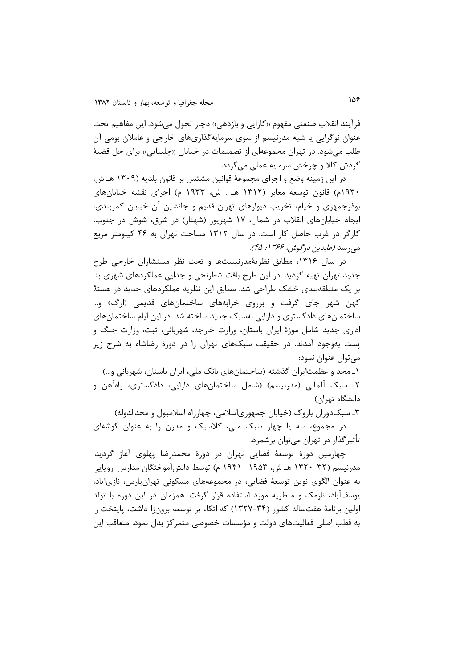فرآيند انقلاب صنعتي مفهوم «كارايي و بازدهي» دچار تحول مي شود. اين مفاهيم تحت عنوان نوگرایی یا شبه مدرنیسم از سوی سرمایهگذاریهای خارجی و عاملان بومی آن طلب می شود. در تهران مجموعهای از تصمیمات در خیابان «چلیپایی» برای حل قضیهٔ گردش کالا و چرخش سرمایه عملی میگردد.

در این زمینه وضع و اجرای مجموعهٔ قوانین مشتمل بر قانون بلدیه (۱۳۰۹ هـ ش، ۱۹۳۰م) قانون توسعه معابر (۱۳۱۲ هـ . ش، ۱۹۳۳ م) اجرای نقشه خیابانهای بوذرجمهری و خیام، تخریب دیوارهای تهران قدیم و جانشین آن خیابان کمربندی، ایجاد خیابانهای انقلاب در شمال، ۱۷ شهریور (شهناز) در شرق، شوش در جنوب، کارگر در غرب حاصل کار است. در سال ۱۳۱۲ مساحت تهران به ۴۶ کیلومتر مربع مبي, سد (عابدين درگوش، ۱۳۶۶: ۴۵).

در سال ۱۳۱۶، مطابق نظریهٔمدرنیستها و تحت نظر مستشاران خارجی طرح جدید تهران تهیه گردید. در این طرح بافت شطرنجی و جدایی عملکردهای شهری بنا بر یک منطقهبندی خشک طراحی شد. مطابق این نظریه عملکردهای جدید در هستهٔ کهن شهر جای گرفت و برروی خرابههای ساختمانهای قدیمی (ارگ) و… ساختمانهای دادگستری و دارایی بهسبک جدید ساخته شد. در این ایام ساختمانهای اداری جدید شامل موزهٔ ایران باستان، وزارت خارجه، شهربانی، ثبت، وزارت جنگ و یست بهوجود آمدند. در حقیقت سبکهای تهران را در دورهٔ رضاشاه به شرح زیر مے توان عنوان نمود:

۱ـ مجد و عظمتایران گذشته (ساختمانهای بانک ملی، ایران باستان، شهربانی و…) ۲ـ سبک آلمانی (مدرنیسم) (شامل ساختمانهای دارایی، دادگستری، راهآهن و دانشگاه تهران)

۳ـ سبک دوران باروک (خیابان جمهوریاسلامی، چهارراه اسلامبول و مجدالدوله) در مجموع، سه یا چهار سبک ملی، کلاسیک و مدرن را به عنوان گوشهای تأثیرگذار در تهران میتوان برشمرد.

چهارمین دورهٔ توسعهٔ فضایی تهران در دورهٔ محمدرضا پهلوی آغاز گردید. مدرنیسم (۳۲-۱۳۲۰ هـ ش، ۱۹۵۳- ۱۹۴۱ م) توسط دانش[موختگان مدارس اروپایی به عنوان الگوی نوین توسعهٔ فضایی، در مجموعههای مسکونی تهران،ارس، نازیآباد، یوسفآباد، نارمک و منظریه مورد استفاده قرار گرفت. همزمان در این دوره با تولد اولین برنامهٔ هفتساله کشور (۳۴–۱۳۲۷) که اتکاء بر توسعه برون;ا داشت، پایتخت را به قطب اصلی فعالیتهای دولت و مؤسسات خصوصی متمرکز بدل نمود. متعاقب این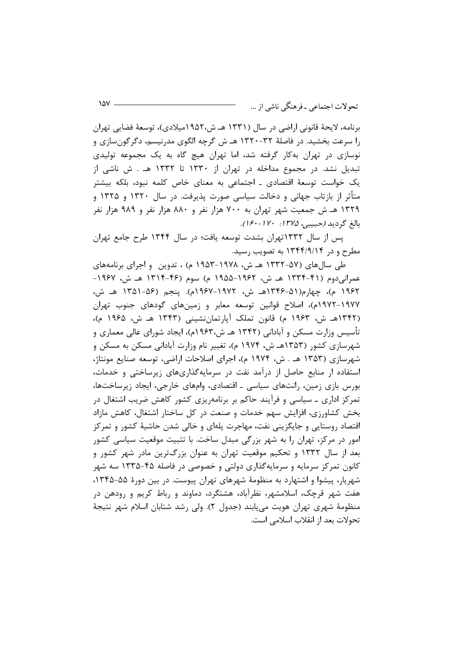برنامه، لايحهٔ قانوني اراضي در سال (۱۳۳۱ هـ ش،۱۹۵۲ميلادي)، توسعهٔ فضايي تهران را سرعت بخشید. در فاصلهٔ ۳۲-۱۳۲۰ هـ ش گرچه الگوی مدرنیسم، دگرگون سازی و نوسازی در تهران بهکار گرفته شد، اما تهران هیچ گاه به یک مجموعه تولیدی تبدیل نشد. در مجموع مداخله در تهران از ۱۳۳۰ تا ۱۳۳۲ هـ . ش ناشی از یک خواست توسعهٔ اقتصادی ـ اجتماعی به معنای خاص کلمه نبود، بلکه بیشتر متأثر از بازتاب جهانی و دخالت سیاسی صورت پذیرفت. در سال ۱۳۲۰ و ۱۳۲۵ و ۱۳۲۹ هـ ش جمعیت شهر تهران به ۷۰۰ هزار نفر و ۸۸۰ هزار نفر و ۹۸۹ هزار نفر بالغ گرديد (حبيبي، ١٣٧۵: ١۶٠-١۶٠).

یس از سال ۱۳۳۲تهران بشدت توسعه یافت؛ در سال ۱۳۴۴ طرح جامع تهران مطرح و در ۱۳۴۴/۹/۱۴ به تصویب رسید.

طی سال های (۵۷–۱۳۳۲ هـ ش، ۱۹۷۸–۱۹۵۳ م) ، تدوین و اجرای برنامههای عمرانی،دوم (۴۱–۱۳۳۴ هـ ش، ۱۹۶۲–۱۹۵۵ م) سوم (۴۶–۱۳۱۴ هـ ش، ۱۹۶۷– ١٩۶٢ م)، چهارم(۵۱-۱۳۴۶هـ ش، ۱۹۷۲-۱۹۶۷م). ينجم (۵۶-۱۳۵۱ هـ ش، ۱۹۷۷–۱۹۷۲م)، اصلاح قوانین توسعه معابر و زمینهای گودهای جنوب تهران (۱۳۴۲هـ ش، ۱۹۶۳ م) قانون تملک آپارتمانِنشینی (۱۳۴۳ هـ ش، ۱۹۶۵ م)، تأسیس وزارت مسکن و آبادانی (۱۳۴۲ هـ ش،۱۹۶۳م)، ایجاد شورای عالی معماری و شهرسازی کشور (۱۳۵۳هـ ش، ۱۹۷۴ م)، تغییر نام وزارت آبادانی مسکن به مسکن و شهرسازی (۱۳۵۳ هـ . ش، ۱۹۷۴ م)، اجرای اصلاحات اراضی، توسعه صنایع مونتاژ، استفاده ار منابع حاصل از درآمد نفت در سرمایهگذاریهای زیرساختی و خدمات، بورس بازی زمین، رانتهای سیاسی ـ اقتصادی، وامهای خارجی، ایجاد زیرساختها، تمرکز اداری ــ سیاسی و فرآیند حاکم بر برنامه یزی کشور کاهش ضریب اشتغال در بخش کشاورزی، افزایش سهم خدمات و صنعت در کل ساختار اشتغال، کاهش مازاد اقتصاد روستایی و جایگزینی نفت، مهاجرت پلهای و خالی شدن حاشیهٔ کشور و تمرکز امور در مرکز، تهران را به شهر بزرگی مبدل ساخت. با تثبیت موقعیت سیاسی کشور بعد از سال ۱۳۳۲ و تحکیم موقعیت تهران به عنوان بزرگترین مادر شهر کشور و کانون تمرکز سرمایه و سرمایهگذاری دولتی و خصوصی در فاصله ۴۵-۱۳۳۵ سه شهر شهریار، پیشوا و اشتهارد به منظومهٔ شهرهای تهران پیوست. در بین دورهٔ ۵۵-۱۳۴۵، هفت شهر قرچک، اسلامشهر، نظرآباد، هشتگرد، دماوند و رباط کریم و رودهن در منظومهٔ شهری تهران هویت می،یابند (جدول ۲). ولی رشد شتابان اسلام شهر نتیجهٔ تحولات بعد از انقلاب اسلامی است.

 $1\Delta V$   $-$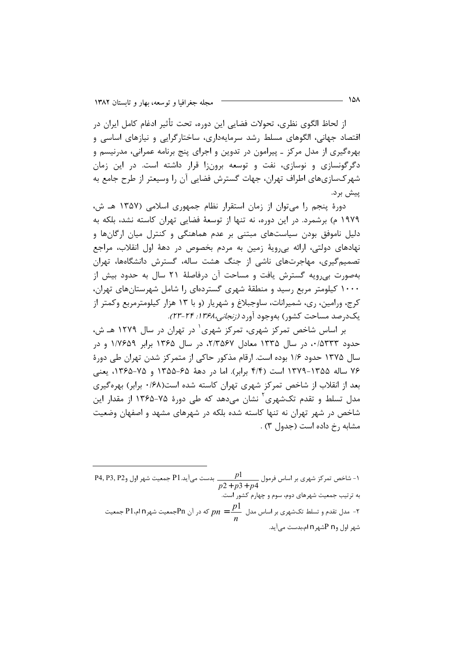از لحاظ الگوی نظری، تحولات فضایی این دوره، تحت تأثیر ادغام کامل ایران در اقتصاد جهانی، الگوهای مسلط رشد سرمایهداری، ساختارگرایی و نیازهای اساسی و بهرهگیری از مدل مرکز ـ پیرامون در تدوین و اجرای پنج برنامه عمرانی، مدرنیسم و دگرگونسازی و نوسازی، نفت و توسعه برونزا قرار داشته است. در این زمان شهر کسازیهای اطراف تهران، جهات گسترش فضایی آن را وسیعتر از طرح جامع به ييش بر د.

دورهٔ پنجم را می توان از زمان استقرار نظام جمهوری اسلامی (۱۳۵۷ هـ ش، ١٩٧٩ م) برشمرد. در اين دوره، نه تنها از توسعهٔ فضايي تهران كاسته نشد، بلكه به دلیل ناموفق بودن سیاستهای مبتنی بر عدم هماهنگی و کنترل میان ارگانها و نهادهای دولتی، ارائه بی رویهٔ زمین به مردم بخصوص در دههٔ اول انقلاب، مراجع تصمیم گیری، مهاجرتهای ناشی از جنگ هشت ساله، گسترش دانشگاهها، تهران بهصورت بی رویه گسترش یافت و مساحت آن درفاصلهٔ ۲۱ سال به حدود بیش از ۱۰۰۰ کیلومتر مربع رسید و منطقهٔ شهری گستردهای را شامل شهرستانهای تهران، کرج، ورامین، ری، شمیرانات، ساوجبلاغ و شهریار (و با ۱۳ هزار کیلومترمربع وکمتر از یکدرصد مساحت کشور) بهوجود آورد *(زنجانی،۱۳۶۸: ۲۴-۲۳).* 

بر اساس شاخص تمرکز شهری، تمرکز شهری<sup>٬</sup> در تهران در سال ۱۲۷۹ هـ ش، حدود ۰/۵۳۳۳، در سال ۱۳۳۵ معادل ۲/۳۵۶۷، در سال ۱۳۶۵ برابر ۱/۷۶۵۹ و در سال ۱۳۷۵ حدود ۱/۶ بوده است. ارقام مذکور حاکی از متمرکز شدن تهران طی دورهٔ ۷۶ ساله ۱۳۵۵-۱۳۷۹ است (۴/۴ برابر). اما در دههٔ ۶۵-۱۳۵۵ و ۷۵-۱۳۶۵، یعنی بعد از انقلاب از شاخص تمرکز شهری تهران کاسته شده است(۰/۶۸ برابر) بهرهگیری مدل تسلط و تقدم تکشهری<sup>۲</sup> نشان می۵هد که طی دورهٔ ۷۵–۱۳۶۵ از مقدار این شاخص در شهر تهران نه تنها کاسته شده بلکه در شهرهای مشهد و اصفهان وضعیت مشابه , خ داده است (جدول ۳) .

-<br>1- شاخص تمرکز شهری بر اساس فرمول ہے جو ہولی ہے۔ P1 جمعیت شهر اول وP4, P3, P2<br>1- شاخص تمرکز شهری بر اساس فرمول ہے کو ہے کہ کہ کہ ت به ترتیب جمعیت شهرهای دوم، سوم و چهارم کشور است. - مدل تقدم و تسلط تکشهری بر اساس مدل  $\frac{p1}{p} = \frac{p1}{p}$  که در آن Pnجمعیت شهر P1م،P1 جمعیت  $\frac{p1}{p}$ شهر اول و P n شهر n ام بدست مے آید.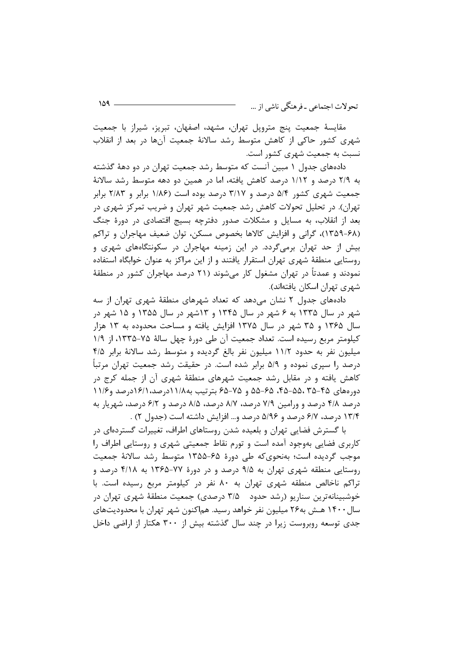مقايسهٔ جمعيت پنج متروپل تهران، مشهد، اصفهان، تبريز، شيراز با جمعيت شهری کشور حاکی از کاهش متوسط رشد سالانهٔ جمعیت آنها در بعد از انقلاب نسبت به جمعیت شهری کشور است.

دادههای جدول ۱ مبین آنست که متوسط رشد جمعیت تهران در دو دههٔ گذشته به ۲/۹ درصد و ۱/۱۲ درصد کاهش یافته، اما در همین دو دهه متوسط رشد سالانهٔ جمعیت شهری کشور ۵/۴ درصد و ۳/۱۷ درصد بوده است (۱/۸۶ برابر و ۲/۸۳ برابر تهران). در تحلیل تحولات کاهش رشد جمعیت شهر تهران و ضریب تمرکز شهری در بعد از انقلاب، به مسایل و مشکلات صدور دفترچه بسیج اقتصادی در دورهٔ جنگ (۶۸-۱۳۵۹)، گرانی و افزایش کالاها بخصوص مسکن، توان ضعیف مهاجران و تراکم بیش از حد تهران برمیگردد. در این زمینه مهاجران در سکونتگاههای شهری و روستایی منطقهٔ شهری تهران استقرار یافتند و از این مراکز به عنوان خوابگاه استفاده نمودند و عمدتاً در تهران مشغول کار میشوند (۲۱ درصد مهاجران کشور در منطقهٔ شهری تهران اسکان یافتهاند).

دادههای جدول ۲ نشان می دهد که تعداد شهرهای منطقهٔ شهری تهران از سه شهر در سال ۱۳۳۵ به ۶ شهر در سال ۱۳۴۵ و ۱۳شهر در سال ۱۳۵۵ و ۱۵ شهر در سال ۱۳۶۵ و ۳۵ شهر در سال ۱۳۷۵ افزایش یافته و مساحت محدوده به ۱۳ هزار كيلومتر مربع رسيده است. تعداد جمعيت آن طي دورة چهل سالة ٧٥-١٣٣٥، از ١/٩ میلیون نفر به حدود ۱۱/۲ میلیون نفر بالغ گردیده و متوسط رشد سالانهٔ برابر ۴/۵ درصد را سپری نموده و ۵/۹ برابر شده است. در حقیقت رشد جمعیت تهران مرتبأ کاهش یافته و در مقابل رشد جمعیت شهرهای منطقهٔ شهری آن از جمله کرج در دورههای ۴۵-۴۵، ۵۵-۴۵، ۶۵-۵۵ و ۷۵-۶۵ بترتیب به۱۱/۸درصد، ۱۶/۱درصد و۱۱/۶ درصد ۴/۸ درصد و ورامین ۷/۹ درصد، ۸/۷ درصد، ۸/۵ درصد و ۶/۲ درصد، شهریار به ۱۳/۴ درصد، ۶/۷ درصد و ۵/۹۶ درصد و… افزایش داشته است (جدول ۲) .

با گسترش فضایی تهران و بلعیده شدن روستاهای اطراف، تغییرات گستردهای در کاربری فضایی بهوجود آمده است و تورم نقاط جمعیتی شهری و روستایی اطراف را موجب گردیده است؛ بهنحویکه طی دورهٔ ۶۵-۱۳۵۵ متوسط رشد سالانهٔ جمعیت روستایی منطقه شهری تهران به ۹/۵ درصد و در دورهٔ ۷۷-۱۳۶۵ به ۴/۱۸ درصد و تراکم ناخالص منطقه شهری تهران به ۸۰ نفر در کیلومتر مربع رسیده است. با خوشبینانهترین سناریو (رشد حدود ۳/۵ درصدی) جمعیت منطقهٔ شهری تهران در سال ۱۴۰۰ هــش به۲۶ میلیون نفر خواهد رسید. هماکنون شهر تهران با محدودیتهای جدی توسعه روبروست زیرا در چند سال گذشته بیش از ۳۰۰ هکتار از اراضی داخل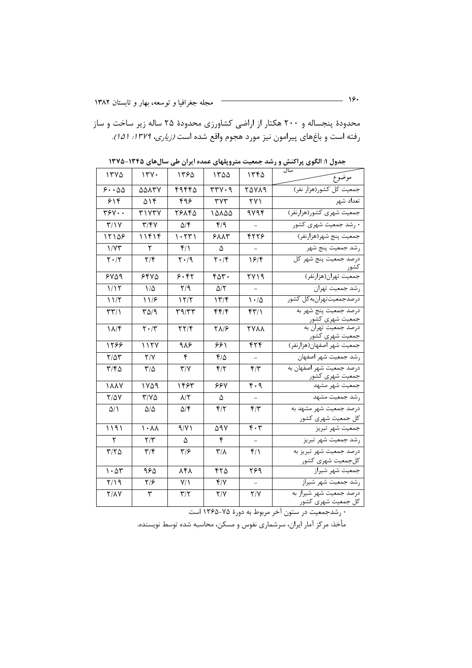محدودهٔ پنجساله و ۲۰۰ هکتار از اراضی کشاورزی محدودهٔ ۲۵ ساله زیر ساخت و ساز رفته است و باغهای پیرامون نیز مورد هجوم واقع شده است *(زیاری، ۱۳۷۹: ۱۵۱).* 

| 1570                          | 17Y.                              | ۱۳۶۵                                        | ۱۳۵۵                               | ۱۳۴۵                                       | سال<br>موضوع                                               |
|-------------------------------|-----------------------------------|---------------------------------------------|------------------------------------|--------------------------------------------|------------------------------------------------------------|
| 5.00                          | ۵۵۸۳۷                             | ۴۹۴۴۵                                       | rrv.9                              | <b>۲۵۷۸۹</b>                               | ۔<br>جمعیت کل کشور(هزار نفر)                               |
| $\overline{\gamma}$           | ۵۱۴                               | ۴۹۶                                         | $\mathbf{r} \mathbf{v} \mathbf{r}$ | ۲۷۱                                        | تعداد شهر                                                  |
| $\overline{\Uparrow}$         | ۳۱۷۳۷                             | ۲۶۸۴۵                                       | ۱۵۸۵۵                              | ۹۷۹۴                                       | جمعیت شهری کشور(هزارنفر)                                   |
| Y/Y                           | $\mathbf{y}/\mathbf{y}$           | $\Delta$ /۴                                 | ۴۱۹                                |                                            | * رشد جمعیت شهری کشور                                      |
| 15108                         | ۱۱۴۱۴                             | 1.55                                        | <b>۶۸۸۳</b>                        | 4776                                       | جمعيت پنج شهر(هزارنفر)                                     |
| 1/YY                          | ٢                                 | $f/\lambda$                                 | ۵                                  | $\overline{\phantom{0}}$                   | رشد جمعيت پنج شهر                                          |
| $\mathbf{Y} \cdot \mathbf{X}$ | $Y/\mathfrak{F}$                  | $\mathsf{Y} \cdot \mathsf{A}$               | $\mathbf{Y} \cdot \mathbf{F}$      | ۱۶۴                                        | درصد جمعيت پنج شهر كل                                      |
| ۶۷۵۹                          | ۶۴۷۵                              | 5.97                                        | ۴۵۳۰                               | ۲۷۱۹                                       | جمعیت تهران(هزارنفر)                                       |
| 1/17                          | $1/\Delta$                        | $\mathsf{Y}/\mathsf{q}$                     | ۵۱۲                                |                                            | رشد جمعيت تهران                                            |
| 11/5                          | 11/۶                              | 15/7                                        | 177                                | $\cdot/\Delta$                             | درصدجمعيت تهرانبه كل كشور                                  |
| $\mathbf{r}\mathbf{r}$        | $T\Delta$ /9                      | $\mathbf{r}\mathbf{a}/\mathbf{r}\mathbf{r}$ | ۴۴۱۴                               | f(Y)                                       | درصد جمعیت پنج شهر به                                      |
| $1/\sqrt{r}$                  | $\mathbf{Y} \cdot \mathbf{X}$     | $\mathbf{Y} \mathbf{Y}/\mathbf{Y}$          | <b>T</b> N/8                       | <b>TYAA</b>                                | جمعیت شهری کشّور<br>درصد جمعیت تهران به<br>جمعیت شهری کشور |
| 1588                          | 1177                              | ۹۸۶                                         | ۶۶۱                                | ۴۲۴                                        | جمعیت شهر اصفهان(هزارنفر)                                  |
| $Y/\Delta Y$                  | Y/Y                               | $\mathbf{\mathsf{F}}$                       | ۴۱۵                                |                                            | رشد جمعیت شهر اصفهان                                       |
| $\mathbf{r}/\mathbf{r}$       | $\mathsf{r}\prime\mathsf{\Delta}$ | $\mathbf{Y}/\mathbf{Y}$                     | $f/\tau$                           | $f/\tau$                                   | درصد جمعیت شهر اصفهان به<br>جمعیت شهری کشور                |
| <b><i>MAY</i></b>             | ١٧۵٩                              | ۱۴۶۳                                        | ۶۶۷                                | $\overline{\mathfrak{r}\cdot\mathfrak{q}}$ | جمعيت شهر مشهد                                             |
| $Y/\Delta V$                  | $Y/Y\Delta$                       | $\lambda/\Upsilon$                          | ۵                                  |                                            | رشد جمعیت مشهد                                             |
| $\Delta/\Lambda$              | $\Delta/\Delta$                   | $\Delta/\mathfrak{F}$                       | $f/\tau$                           | $f/\tau$                                   | درصد جمعیت شهر مشهد به<br>کل جمعیت شهری کشور               |
| 1191                          | $\sqrt{\cdot}$                    | 9/11                                        | ۵۹۷                                | $\mathbf{r} \cdot \mathbf{r}$              | جمعيت شهر تبريز                                            |
| ٢                             | $\mathsf{Y}/\mathsf{Y}$           | ۵                                           | ۴                                  |                                            | رشد جمعيت شهر تبريز                                        |
| $\tau/\tau \Delta$            | $\mathbf{r}/\mathbf{r}$           | $\mathbf{y}/\mathbf{y}$                     | $\mathsf{r}/\mathsf{A}$            | $f/\lambda$                                | .<br>درصد جمعیت شهر تبریز به<br>كلجمعيت شهرى كشور          |
| 1.24                          | ۹۶۵                               | ۸۴۸                                         | ۴٢۵                                | ۲۶۹                                        | جمعيت شهر شيراز                                            |
| Y/Y                           | ۲۱۶                               | $Y/\lambda$                                 | Y/Y                                | $\overline{a}$                             | رشد جمعیت شهر شیراز                                        |
| $Y/\lambda V$                 | ٣                                 | $\mathbf{y}/\mathbf{y}$                     | Y/Y                                | Y/Y                                        | .<br>درصد جمعیت شهر شیراز به<br>کلِ جمعیت شهری کشور        |

جدول ۱: الگوی پراکنش و رشد جمعیت متروپلهای عمده ایران طی سال های ۱۳۴۵-۱۳۷۵

\* رشدجمعیت در ستون آخر مربوط به دورهٔ ۷۵-۱۳۶۵ است

مأخذ: مركز آمار ايران، سرشماري نفوس و مسكن، محاسبه شده توسط نويسنده.

 $\overline{\phantom{a}}$   $\overline{\phantom{a}}$   $\overline{\phantom{a}}$   $\overline{\phantom{a}}$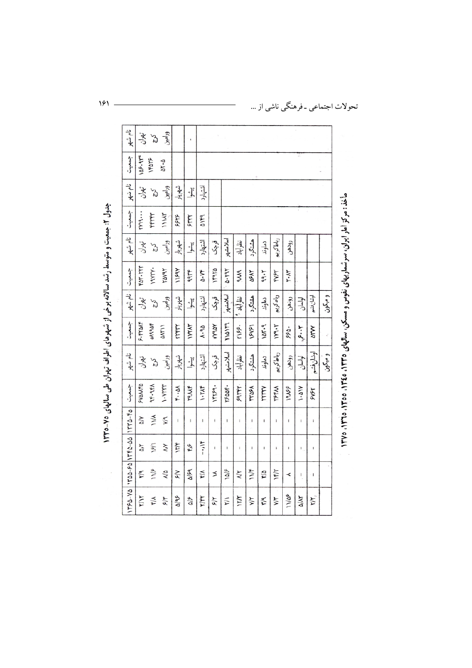|               | $140 - 50$   $1770 - 00$   $1770 - 50$ | جس               | نام شهر   | جمعيت        | ∴نام شهر  | جمعیت           | نام شهر  | جمعیت                                    | نام شهر       | جمعيت                   | نام شهر |
|---------------|----------------------------------------|------------------|-----------|--------------|-----------|-----------------|----------|------------------------------------------|---------------|-------------------------|---------|
| $\Delta$      | $\geq$                                 | <b>SYANTA</b>    | تھران     | 5.58         | تهران     | <b>FAT- TYT</b> | تعران    | $f'$ $\gamma$ $\gamma$ $\gamma$ $\cdots$ | تھران         | 108.917                 | تهوان   |
| 181           | 11/4                                   | <b>AF.9FA</b>    | $\zeta'$  | 3119908      | ς,        | I9VYY.          | ξ        | FFYFY                                    | $\mathcal{L}$ | ۱۴۵۲۶                   | Σ,      |
| $\geq$        | $V^{\mathsf{q}}$                       | $\gamma$         | ورامين    | ልለኛ ነ ነ      | ورامين    | YAVIY           | ورامين   | 111AT                                    | ورامين        | $\Delta Y \cdot \Delta$ | ورامين  |
| $\frac{1}{2}$ | T.                                     | $x \cdot 3x$     | شهريار    | <b>TYFTY</b> | شهريار    | 1199Y           | شهريار   | አንዳሪ                                     | شهريار        |                         |         |
| ٤             | I.                                     | <b>TPUF</b>      | بيشوا     | IVYAY        | پيشوا     | qqrr            | يشوا     | ۶٣٣٢                                     | بيشوا         |                         |         |
| $-1$          | $\mathbf{I}$                           | 1.7 <sup>4</sup> | اشتهارد   | 4.9a         | اشتهارد   | ۵۰۷۴            | اشتهارد  | ۵۱۴۹                                     | اشتهارد       |                         |         |
| $\mathbf{I}$  | $\mathfrak l$                          | 14759.           | وأركى     | <b>MARY</b>  | وهي       | 14970           | وأركى    |                                          |               |                         |         |
| I             | $\mathbf{I}$                           | <b>YSQQF-</b>    | اسلامشهر  | ٢١۵١٢٩       | اسلامشهر  | 0.791           | اسلامشهر |                                          |               |                         |         |
| ı             | ı                                      | 59177            | نظرآباد   | <b>TISS.</b> | نظ آباد " | SM              | نظرآباد  |                                          |               |                         |         |
| ı             | ī                                      | <b>TTAPA</b>     | هشتگرد    | Y            | هغتگرد    | ۵۶۸۲            | هشتگرد   |                                          |               |                         |         |
| 1             | $\mathbf{I}$                           | YYYYY            | دماوند    | 104.9        | دماوند    | 99.5            | دماوند   |                                          |               |                         |         |
| ĵ             | $\mathbb{I}$                           | <b>TSFAN</b>     | رباطكريم  | 119.7        | رباطكريم  | fy۶۳            | رباطكريم |                                          |               |                         |         |
| I             | I                                      | 19165            | رودهن     | ۶۶۵.         | رودهن     | ٣٠N٣            | رودهن    |                                          |               |                         |         |
| ł             | $\mathbf{I}$                           | $\sqrt{16.1}$    | لواسان    | ٣٠٠٢         | لواسان    |                 |          |                                          |               |                         |         |
| ı             | ŧ                                      | FYSY             | اوشان فشم | ۵٣W          | أوشان فشم |                 |          |                                          |               |                         |         |
|               |                                        |                  | و میگون   | $\epsilon$   | ومكون     |                 |          |                                          |               |                         |         |

 $\overline{\phantom{0}}$ 

جدول ۲. جمعیت و متوسط رشد سالانه برخی از شهرهای اطراف تهران طی سالهای ۷۵-۱۳۳۵

 $191 -$ 

تحولات اجتماعی ـ فرهنگی ناشی از ...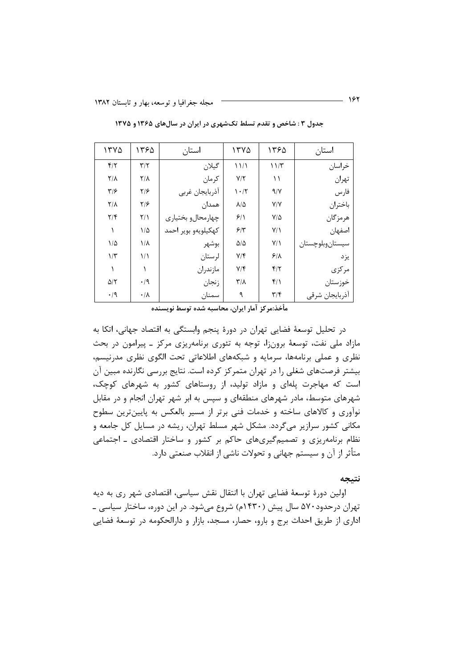| ١٣٧٥                    | ۱۳۶۵                    | استان               | ١٣٧٥                            | ۱۳۶۵                    | استان            |
|-------------------------|-------------------------|---------------------|---------------------------------|-------------------------|------------------|
| $f/\tau$                | $\mathbf{r}/\mathbf{r}$ | گيلان               | $\frac{1}{2}$                   | 11/T                    | خراسان           |
| $Y/\lambda$             | $\mathsf{Y}/\mathsf{A}$ | كرمان               | Y/Y                             | ۱۱                      | تهران            |
| $\mathbf{y}/\mathbf{y}$ | $Y/\mathcal{F}$         | أذربايجان غربي      | $\mathcal{N} \cdot \mathcal{N}$ | 9/7                     | فارس             |
| $\mathsf{Y}/\mathsf{A}$ | $Y/\mathcal{F}$         | همدان               | $\lambda/\Delta$                | Y/Y                     | باختران          |
| $\mathbf{Y}/\mathbf{F}$ | $Y/\lambda$             | چهارمحالو بختياري   | 9/1                             | $V/\Delta$              | هرمز گان         |
|                         | $1/\Delta$              | كهكيلويهو بوير احمد | $5/\tilde{r}$                   | $Y/\lambda$             | اصفهان           |
| $1/\Delta$              | $1/\lambda$             | بوشهر               | $\Delta/\Delta$                 | $Y/\lambda$             | سيستان وبلوچستان |
| $1/\tau$                | ۱۱                      | لرستان              | $Y/\mathfrak{F}$                | 5/1                     | يز د             |
|                         |                         | مازندران            | $Y/\mathfrak{F}$                | $f/\tau$                | مركزى            |
| $\Delta/\Upsilon$       | $\cdot$ /9              | زنجان               | $\mathsf{r}/\mathsf{v}$         | $f/\lambda$             | خوزستان          |
| $\cdot$ /9              | $\cdot/\lambda$         | سمنان               | ٩                               | $\mathbf{r}/\mathbf{r}$ | أذربايجان شرقي   |

جدول ۳ : شاخص و تقدم تسلط تکشهری در ایران در سالهای ۱۳۶۵ و ۱۳۷۵

مأخذ:مركز آمار ايران، محاسبه شده توسط نويسنده

در تحليل توسعهٔ فضايي تهران در دورهٔ پنجم وابستگي به اقتصاد جهاني، اتكا به مازاد ملي نفت، توسعهٔ برون;ا، توجه به تئوري برنامهريزي مركز ـ پيرامون در بحث نظری و عملی برنامهها، سرمایه و شبکههای اطلاعاتی تحت الگوی نظری مدرنیسم، بیشتر فرصتهای شغلی را در تهران متمرکز کرده است. نتایج بررسی نگارنده مبین آن است که مهاجرت پلهای و مازاد تولید، از روستاهای کشور به شهرهای کوچک، شهرهای متوسط، مادر شهرهای منطقهای و سپس به ابر شهر تهران انجام و در مقابل نوآوری و کالاهای ساخته و خدمات فنی برتر از مسیر بالعکس به پایینترین سطوح مکانی کشور سرازیر می گردد. مشکل شهر مسلط تهران، ریشه در مسایل کل جامعه و نظام برنامهریزی و تصمیمگیریهای حاکم بر کشور و ساختار اقتصادی ـ اجتماعی متأثر از آن و سیستم جهانی و تحولات ناشی از انقلاب صنعتی دارد.

نتيجه

اولین دورهٔ توسعهٔ فضایی تهران با انتقال نقش سیاسی، اقتصادی شهر ری به دیه تهران درحدود۵۷۰ سال پیش (۱۴۳۰م) شروع میشود. در این دوره، ساختار سیاسی ــ اداری از طریق احداث برج و بارو، حصار، مسجد، بازار و دارالحکومه در توسعهٔ فضایی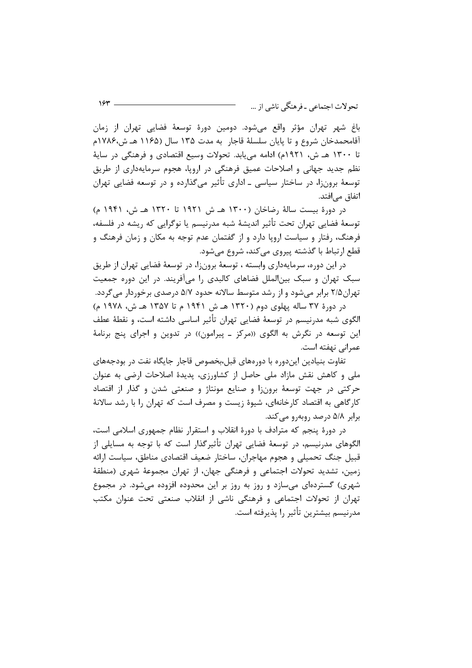باغ شهر تهران مؤثر واقع می،شود. دومین دورهٔ توسعهٔ فضایی تهران از زمان آقامحمدخان شروع و تا پایان سلسلهٔ قاجار به مدت ۱۳۵ سال (۱۱۶۵ هـ ش،۱۷۸۶م تا ۱۳۰۰ هـ ش، ۱۹۲۱م) ادامه می یابد. تحولات وسیع اقتصادی و فرهنگی در سایهٔ نظم جدید جهانی و اصلاحات عمیق فرهنگی در اروپا، هجوم سرمایهداری از طریق توسعهٔ برونزا، در ساختار سیاسی ــ اداری تأثیر میگذارده و در توسعه فضایی تهران اتفاق مے افتد.

در دورهٔ بیست سالهٔ رضاخان (۱۳۰۰ هـ ش ۱۹۲۱ تا ۱۳۲۰ هـ ش، ۱۹۴۱ م) توسعهٔ فضایی تهران تحت تأثیر اندیشهٔ شبه مدرنیسم یا نوگرایی که ریشه در فلسفه، فرهنگ، رفتار و سیاست اروپا دارد و از گفتمان عدم توجه به مکان و زمان فرهنگ و قطع ارتباط با گذشته پیروی می کند، شروع مے شود.

در این دوره، سرمایهداری وابسته ، توسعهٔ برونزا، در توسعهٔ فضایی تهران از طریق سبک تهران و سبک بینالملل فضاهای کالبدی را میآفریند. در این دوره جمعیت تهران۲/۵ برابر میشود و از رشد متوسط سالانه حدود ۵/۷ درصدی برخوردار می5ردد.

در دورهٔ ۳۷ ساله پهلوی دوم (۱۳۲۰ هـ ش ۱۹۴۱ م تا ۱۳۵۷ هـ ش، ۱۹۷۸ م) الگوی شبه مدرنیسم در توسعهٔ فضایی تهران تأثیر اساسی داشته است، و نقطهٔ عطف این توسعه در نگرش به الگوی ((مرکز ـ پیرامون)) در تدوین و اجرای پنج برنامهٔ عمرانی نهفته است.

تفاوت بنیادین ایندوره با دورههای قبل،بخصوص قاجار جایگاه نفت در بودجههای ملی و کاهش نقش مازاد ملی حاصل از کشاورزی، پدیدهٔ اصلاحات ارضی به عنوان حرکتی در جهت توسعهٔ برونزا و صنایع مونتاژ و صنعتی شدن و گذار از اقتصاد کارگاهی به اقتصاد کارخانهای، شیوهٔ زیست و مصرف است که تهران را با رشد سالانهٔ برابر ۵/۸ درصد روبهرو میکند.

در دورهٔ پنجم که مترادف با دورهٔ انقلاب و استقرار نظام جمهوری اسلامی است، الگوهای مدرنیسم، در توسعهٔ فضایی تهران تأثیرگذار است که با توجه به مسایلی از قبیل جنگ تحمیلی و هجوم مهاجران، ساختار ضعیف اقتصادی مناطق، سیاست ارائه زمین، تشدید تحولات اجتماعی و فرهنگی جهان، از تهران مجموعهٔ شهری (منطقهٔ شهری) گستردهای میسازد و روز به روز بر این محدوده افزوده میشود. در مجموع تهران از تحولات اجتماعی و فرهنگی ناشی از انقلاب صنعتی تحت عنوان مکتب مدرنيسم بيشترين تأثير ,ا يذيرفته است.